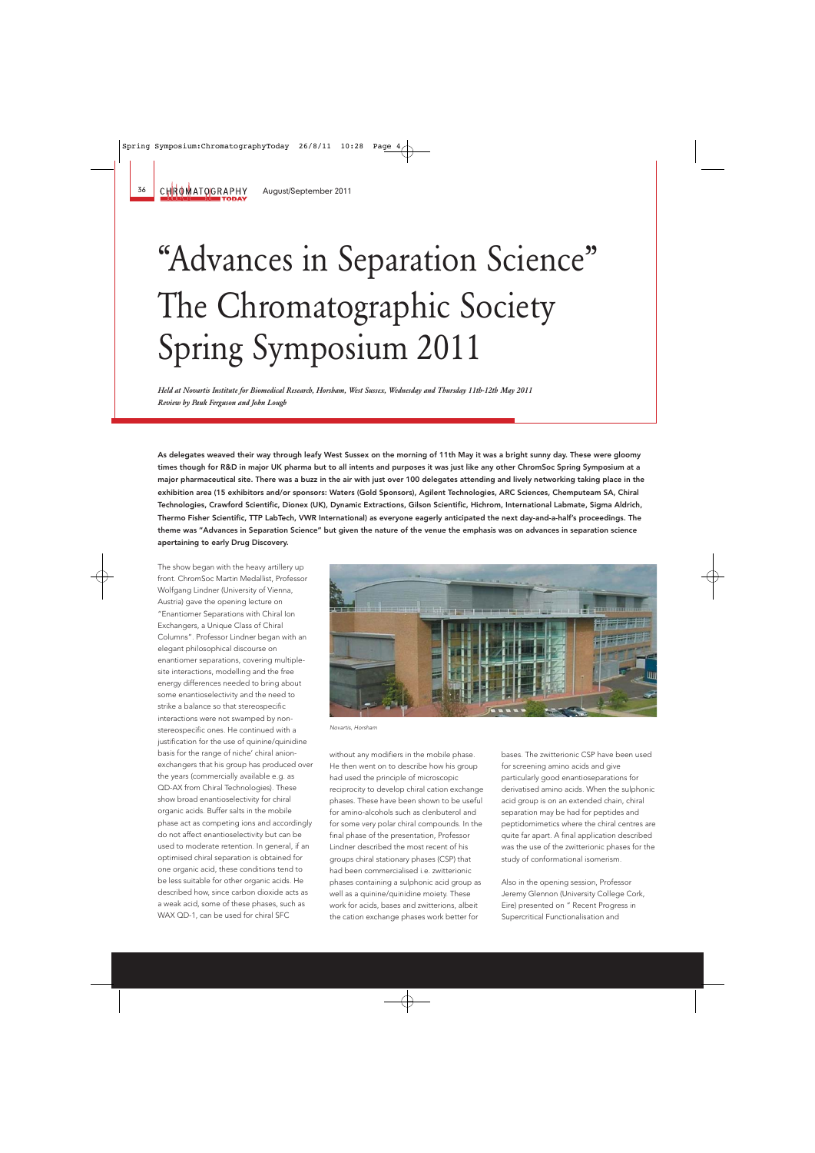36

## "Advances in Separation Science" The Chromatographic Society Spring Symposium 2011

*Held at Novartis Institute for Biomedical Research, Horsham, West Sussex, Wednesday and Thursday 11th-12th May 2011 Review by Pauk Ferguson and John Lough*

As delegates weaved their way through leafy West Sussex on the morning of 11th May it was a bright sunny day. These were gloomy times though for R&D in major UK pharma but to all intents and purposes it was just like any other ChromSoc Spring Symposium at a major pharmaceutical site. There was a buzz in the air with just over 100 delegates attending and lively networking taking place in the exhibition area (15 exhibitors and/or sponsors: Waters (Gold Sponsors), Agilent Technologies, ARC Sciences, Chemputeam SA, Chiral Technologies, Crawford Scientific, Dionex (UK), Dynamic Extractions, Gilson Scientific, Hichrom, International Labmate, Sigma Aldrich, Thermo Fisher Scientific, TTP LabTech, VWR International) as everyone eagerly anticipated the next day-and-a-half's proceedings. The theme was "Advances in Separation Science" but given the nature of the venue the emphasis was on advances in separation science apertaining to early Drug Discovery.

The show began with the heavy artillery up front. ChromSoc Martin Medallist, Professor Wolfgang Lindner (University of Vienna, Austria) gave the opening lecture on "Enantiomer Separations with Chiral Ion Exchangers, a Unique Class of Chiral Columns". Professor Lindner began with an elegant philosophical discourse on enantiomer separations, covering multiplesite interactions, modelling and the free energy differences needed to bring about some enantioselectivity and the need to strike a balance so that stereospecific interactions were not swamped by nonstereospecific ones. He continued with a justification for the use of quinine/quinidine basis for the range of niche' chiral anionexchangers that his group has produced over the years (commercially available e.g. as QD-AX from Chiral Technologies). These show broad enantioselectivity for chiral organic acids. Buffer salts in the mobile phase act as competing ions and accordingly do not affect enantioselectivity but can be used to moderate retention. In general, if an optimised chiral separation is obtained for one organic acid, these conditions tend to be less suitable for other organic acids. He described how, since carbon dioxide acts as a weak acid, some of these phases, such as WAX QD-1, can be used for chiral SFC



Novartis, Horsham

without any modifiers in the mobile phase. He then went on to describe how his group had used the principle of microscopic reciprocity to develop chiral cation exchange phases. These have been shown to be useful for amino-alcohols such as clenbuterol and for some very polar chiral compounds. In the final phase of the presentation, Professor Lindner described the most recent of his groups chiral stationary phases (CSP) that had been commercialised i.e. zwitterionic phases containing a sulphonic acid group as well as a quinine/quinidine moiety. These work for acids, bases and zwitterions, albeit the cation exchange phases work better for

bases. The zwitterionic CSP have been used for screening amino acids and give particularly good enantioseparations for derivatised amino acids. When the sulphonic acid group is on an extended chain, chiral separation may be had for peptides and peptidomimetics where the chiral centres are quite far apart. A final application described was the use of the zwitterionic phases for the study of conformational isomerism.

Also in the opening session, Professor Jeremy Glennon (University College Cork, Eire) presented on " Recent Progress in Supercritical Functionalisation and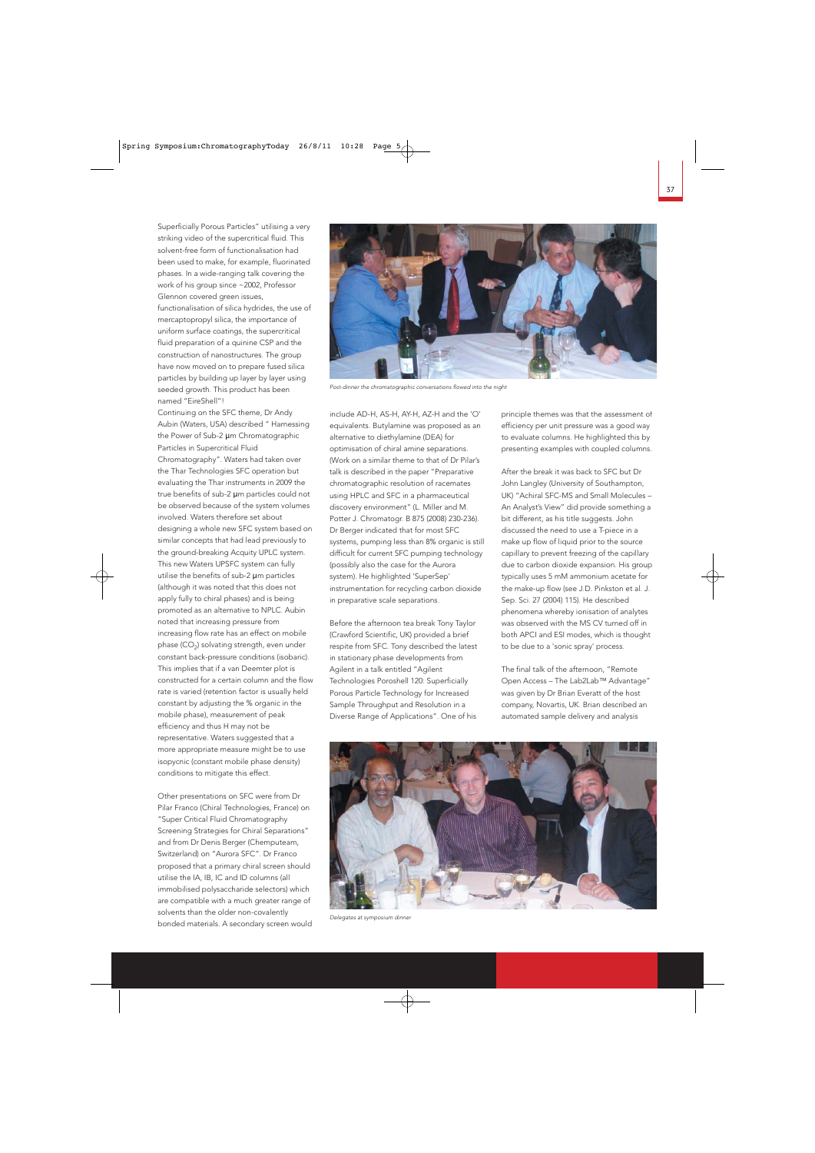Superficially Porous Particles" utilising a very striking video of the supercritical fluid. This solvent-free form of functionalisation had been used to make, for example, fluorinated phases. In a wide-ranging talk covering the work of his group since ~2002, Professor Glennon covered green issues,

functionalisation of silica hydrides, the use of mercaptopropyl silica, the importance of uniform surface coatings, the supercritical fluid preparation of a quinine CSP and the construction of nanostructures. The group have now moved on to prepare fused silica particles by building up layer by layer using seeded growth. This product has been named "EireShell"!

Continuing on the SFC theme, Dr Andy Aubin (Waters, USA) described " Harnessing the Power of Sub-2 µm Chromatographic Particles in Supercritical Fluid Chromatography". Waters had taken over the Thar Technologies SFC operation but evaluating the Thar instruments in 2009 the true benefits of sub-2 µm particles could not be observed because of the system volumes involved. Waters therefore set about designing a whole new SFC system based on similar concepts that had lead previously to the ground-breaking Acquity UPLC system. This new Waters UPSFC system can fully utilise the benefits of sub-2 µm particles (although it was noted that this does not apply fully to chiral phases) and is being promoted as an alternative to NPLC. Aubin noted that increasing pressure from increasing flow rate has an effect on mobile phase (CO<sub>2</sub>) solvating strength, even under constant back-pressure conditions (isobaric). This implies that if a van Deemter plot is constructed for a certain column and the flow rate is varied (retention factor is usually held constant by adjusting the % organic in the mobile phase), measurement of peak efficiency and thus H may not be representative. Waters suggested that a more appropriate measure might be to use isopycnic (constant mobile phase density) conditions to mitigate this effect.

Other presentations on SFC were from Dr Pilar Franco (Chiral Technologies, France) on "Super Critical Fluid Chromatography Screening Strategies for Chiral Separations" and from Dr Denis Berger (Chemputeam, Switzerland) on "Aurora SFC". Dr Franco proposed that a primary chiral screen should utilise the IA, IB, IC and ID columns (all immobilised polysaccharide selectors) which are compatible with a much greater range of solvents than the older non-covalently bonded materials. A secondary screen would



Post-dinner the chromatographic conversations flowed into the night

include AD-H, AS-H, AY-H, AZ-H and the 'O' equivalents. Butylamine was proposed as an alternative to diethylamine (DEA) for optimisation of chiral amine separations. (Work on a similar theme to that of Dr Pilar's talk is described in the paper "Preparative chromatographic resolution of racemates using HPLC and SFC in a pharmaceutical discovery environment" (L. Miller and M. Potter J. Chromatogr. B 875 (2008) 230-236). Dr Berger indicated that for most SFC systems, pumping less than 8% organic is still difficult for current SFC pumping technology (possibly also the case for the Aurora system). He highlighted 'SuperSep' instrumentation for recycling carbon dioxide in preparative scale separations.

Before the afternoon tea break Tony Taylor (Crawford Scientific, UK) provided a brief respite from SFC. Tony described the latest in stationary phase developments from Agilent in a talk entitled "Agilent Technologies Poroshell 120: Superficially Porous Particle Technology for Increased Sample Throughput and Resolution in a Diverse Range of Applications". One of his principle themes was that the assessment of efficiency per unit pressure was a good way to evaluate columns. He highlighted this by presenting examples with coupled columns.

After the break it was back to SFC but Dr John Langley (University of Southampton, UK) "Achiral SFC-MS and Small Molecules – An Analyst's View" did provide something a bit different, as his title suggests. John discussed the need to use a T-piece in a make up flow of liquid prior to the source capillary to prevent freezing of the capillary due to carbon dioxide expansion. His group typically uses 5 mM ammonium acetate for the make-up flow (see J.D. Pinkston et al. J. Sep. Sci. 27 (2004) 115). He described phenomena whereby ionisation of analytes was observed with the MS CV turned off in both APCI and ESI modes, which is thought to be due to a 'sonic spray' process.

The final talk of the afternoon, "Remote Open Access – The Lab2Lab™ Advantage" was given by Dr Brian Everatt of the host company, Novartis, UK. Brian described an automated sample delivery and analysis



Delegates at symposium dinner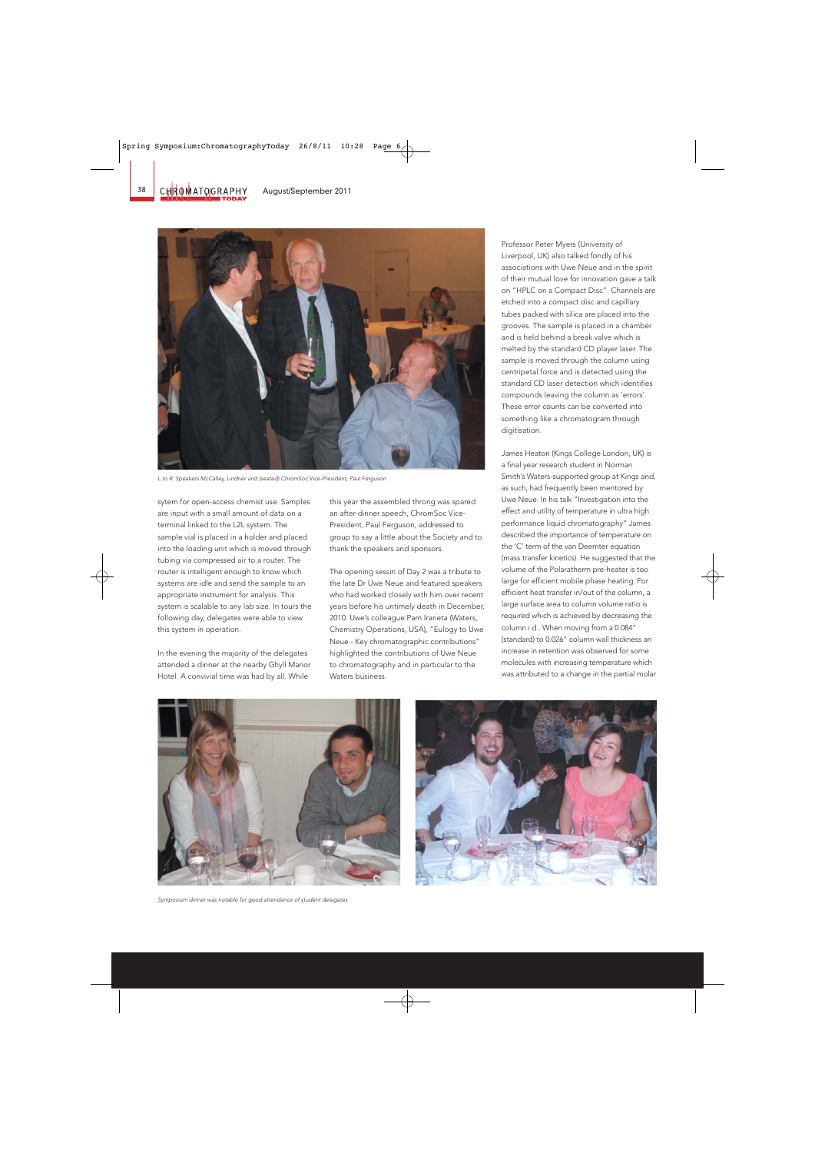

L to R: Speakers McCalley, Lindner and (seated) ChromSoc Vice-President, Paul Ferguson

sytem for open-access chemist use. Samples are input with a small amount of data on a terminal linked to the L2L system. The sample vial is placed in a holder and placed into the loading unit which is moved through tubing via compressed air to a router. The router is intelligent enough to know which systems are idle and send the sample to an appropriate instrument for analysis. This system is scalable to any lab size. In tours the following day, delegates were able to view this system in operation.

In the evening the majority of the delegates attended a dinner at the nearby Ghyll Manor Hotel. A convivial time was had by all. While

this year the assembled throng was spared an after-dinner speech, ChromSoc Vice-President, Paul Ferguson, addressed to group to say a little about the Society and to thank the speakers and sponsors.

The opening sessin of Day 2 was a tribute to the late Dr Uwe Neue and featured speakers who had worked closely with him over recent years before his untimely death in December, 2010. Uwe's colleague Pam Iraneta (Waters, Chemistry Operations, USA), "Eulogy to Uwe Neue - Key chromatographic contributions" highlighted the contributions of Uwe Neue to chromatography and in particular to the Waters business.

Professor Peter Myers (University of Liverpool, UK) also talked fondly of his associations with Uwe Neue and in the spirit of their mutual love for innovation gave a talk on "HPLC on a Compact Disc". Channels are etched into a compact disc and capillary tubes packed with silica are placed into the grooves. The sample is placed in a chamber and is held behind a break valve which is melted by the standard CD player laser. The sample is moved through the column using centripetal force and is detected using the standard CD laser detection which identifies compounds leaving the column as 'errors'. These error counts can be converted into something like a chromatogram through digitisation.

James Heaton (Kings College London, UK) is a final year research student in Norman Smith's Waters-supported group at Kings and, as such, had frequently been mentored by Uwe Neue. In his talk "Investigation into the effect and utility of temperature in ultra high performance liquid chromatography" James described the importance of temperature on the 'C' term of the van Deemter equation (mass transfer kinetics). He suggested that the volume of the Polaratherm pre-heater is too large for efficient mobile phase heating. For efficient heat transfer in/out of the column, a large surface area to column volume ratio is required which is achieved by decreasing the column i.d.. When moving from a 0.084" (standard) to 0.026" column wall thickness an increase in retention was observed for some molecules with increasing temperature which was attributed to a change in the partial molar





Symposium dinner was notable for good attendance of student delegates